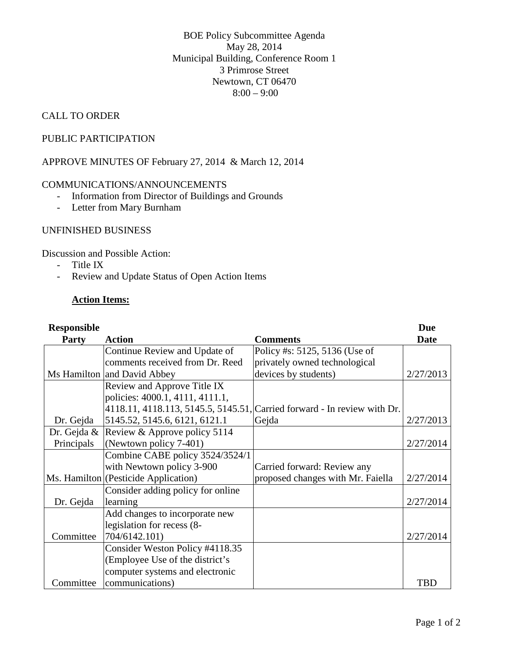BOE Policy Subcommittee Agenda May 28, 2014 Municipal Building, Conference Room 1 3 Primrose Street Newtown, CT 06470  $8:00 - 9:00$ 

### CALL TO ORDER

### PUBLIC PARTICIPATION

APPROVE MINUTES OF February 27, 2014 & March 12, 2014

#### COMMUNICATIONS/ANNOUNCEMENTS

- Information from Director of Buildings and Grounds
- Letter from Mary Burnham

#### UNFINISHED BUSINESS

Discussion and Possible Action:

- Title IX
- Review and Update Status of Open Action Items

#### **Action Items:**

| <b>Responsible</b> |                                          |                                                                          | <b>Due</b> |
|--------------------|------------------------------------------|--------------------------------------------------------------------------|------------|
| <b>Party</b>       | <b>Action</b>                            | <b>Comments</b>                                                          | Date       |
|                    | Continue Review and Update of            | Policy #s: 5125, 5136 (Use of                                            |            |
|                    | comments received from Dr. Reed          | privately owned technological                                            |            |
|                    | Ms Hamilton and David Abbey              | devices by students)                                                     | 2/27/2013  |
|                    | Review and Approve Title IX              |                                                                          |            |
|                    | policies: 4000.1, 4111, 4111.1,          |                                                                          |            |
|                    |                                          | 4118.11, 4118.113, 5145.5, 5145.51, Carried forward - In review with Dr. |            |
| Dr. Gejda          | 5145.52, 5145.6, 6121, 6121.1            | Gejda                                                                    | 2/27/2013  |
|                    | Dr. Gejda & Review & Approve policy 5114 |                                                                          |            |
| Principals         | (Newtown policy 7-401)                   |                                                                          | 2/27/2014  |
|                    | Combine CABE policy 3524/3524/1          |                                                                          |            |
|                    | with Newtown policy 3-900                | Carried forward: Review any                                              |            |
|                    | Ms. Hamilton (Pesticide Application)     | proposed changes with Mr. Faiella                                        | 2/27/2014  |
|                    | Consider adding policy for online        |                                                                          |            |
| Dr. Gejda          | learning                                 |                                                                          | 2/27/2014  |
|                    | Add changes to incorporate new           |                                                                          |            |
|                    | legislation for recess (8-               |                                                                          |            |
| Committee          | 704/6142.101)                            |                                                                          | 2/27/2014  |
|                    | Consider Weston Policy #4118.35          |                                                                          |            |
|                    | (Employee Use of the district's          |                                                                          |            |
|                    | computer systems and electronic          |                                                                          |            |
| Committee          | communications)                          |                                                                          | TBD        |